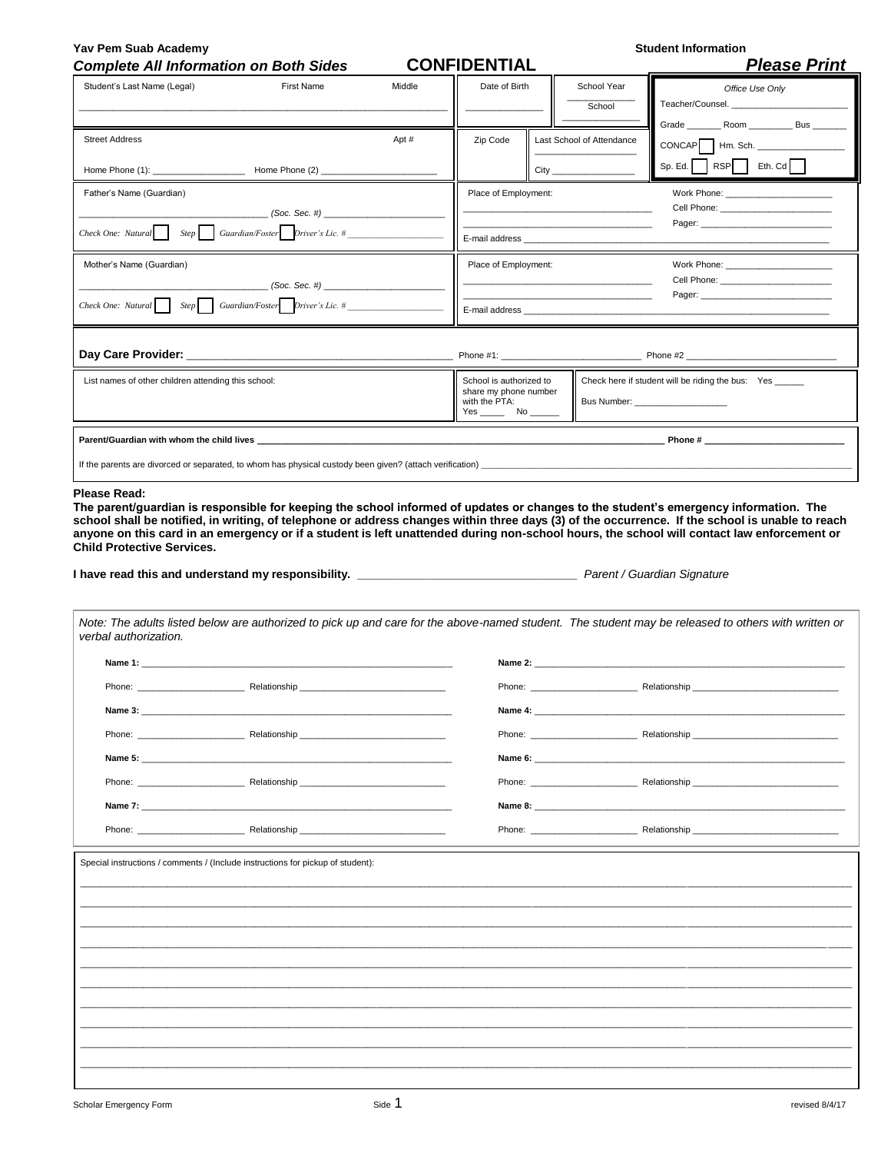| <b>Complete All Information on Both Sides</b>                                                                                                                                                                                  |                                                                                                                                                                                                                                |                      | <b>CONFIDENTIAL</b>                                               |                           |                                                                                                                                                                                                                                | <b>Please Print</b>                                                                                                                                                                                                                                                                                                                                                                                                                   |
|--------------------------------------------------------------------------------------------------------------------------------------------------------------------------------------------------------------------------------|--------------------------------------------------------------------------------------------------------------------------------------------------------------------------------------------------------------------------------|----------------------|-------------------------------------------------------------------|---------------------------|--------------------------------------------------------------------------------------------------------------------------------------------------------------------------------------------------------------------------------|---------------------------------------------------------------------------------------------------------------------------------------------------------------------------------------------------------------------------------------------------------------------------------------------------------------------------------------------------------------------------------------------------------------------------------------|
| Student's Last Name (Legal)                                                                                                                                                                                                    | First Name                                                                                                                                                                                                                     | Middle               |                                                                   | Date of Birth             |                                                                                                                                                                                                                                | Office Use Only                                                                                                                                                                                                                                                                                                                                                                                                                       |
|                                                                                                                                                                                                                                |                                                                                                                                                                                                                                |                      |                                                                   |                           | School                                                                                                                                                                                                                         | Teacher/Counsel.                                                                                                                                                                                                                                                                                                                                                                                                                      |
|                                                                                                                                                                                                                                |                                                                                                                                                                                                                                |                      |                                                                   |                           |                                                                                                                                                                                                                                |                                                                                                                                                                                                                                                                                                                                                                                                                                       |
| <b>Street Address</b>                                                                                                                                                                                                          |                                                                                                                                                                                                                                | Apt #                | Zip Code                                                          |                           | Last School of Attendance                                                                                                                                                                                                      | $CONCAP$ $\Box$ Hm. Sch. $\Box$                                                                                                                                                                                                                                                                                                                                                                                                       |
|                                                                                                                                                                                                                                |                                                                                                                                                                                                                                |                      |                                                                   | $City$ <sub>_______</sub> |                                                                                                                                                                                                                                | $Sp. Ed.$ RSP Eth. Cd                                                                                                                                                                                                                                                                                                                                                                                                                 |
| Father's Name (Guardian)                                                                                                                                                                                                       |                                                                                                                                                                                                                                |                      | Place of Employment:                                              |                           |                                                                                                                                                                                                                                | Work Phone: _______________                                                                                                                                                                                                                                                                                                                                                                                                           |
|                                                                                                                                                                                                                                | (Soc. Sec. #)                                                                                                                                                                                                                  |                      |                                                                   |                           |                                                                                                                                                                                                                                |                                                                                                                                                                                                                                                                                                                                                                                                                                       |
| $Check One: Natural$ Step Guardian/Foster Driver's Lic. #                                                                                                                                                                      |                                                                                                                                                                                                                                |                      |                                                                   |                           |                                                                                                                                                                                                                                |                                                                                                                                                                                                                                                                                                                                                                                                                                       |
| Mother's Name (Guardian)                                                                                                                                                                                                       |                                                                                                                                                                                                                                | Place of Employment: |                                                                   |                           |                                                                                                                                                                                                                                |                                                                                                                                                                                                                                                                                                                                                                                                                                       |
|                                                                                                                                                                                                                                | (Soc. Sec. #)                                                                                                                                                                                                                  |                      |                                                                   |                           |                                                                                                                                                                                                                                |                                                                                                                                                                                                                                                                                                                                                                                                                                       |
| Guardian/Foster Driver's Lic. #<br>Check One: Natural Step                                                                                                                                                                     |                                                                                                                                                                                                                                |                      |                                                                   |                           |                                                                                                                                                                                                                                |                                                                                                                                                                                                                                                                                                                                                                                                                                       |
|                                                                                                                                                                                                                                |                                                                                                                                                                                                                                |                      |                                                                   |                           |                                                                                                                                                                                                                                |                                                                                                                                                                                                                                                                                                                                                                                                                                       |
|                                                                                                                                                                                                                                |                                                                                                                                                                                                                                |                      |                                                                   |                           |                                                                                                                                                                                                                                |                                                                                                                                                                                                                                                                                                                                                                                                                                       |
|                                                                                                                                                                                                                                | List names of other children attending this school:                                                                                                                                                                            |                      | School is authorized to<br>share my phone number<br>with the PTA: |                           | Check here if student will be riding the bus: Yes<br>Bus Number: ______________________                                                                                                                                        |                                                                                                                                                                                                                                                                                                                                                                                                                                       |
|                                                                                                                                                                                                                                |                                                                                                                                                                                                                                |                      |                                                                   |                           |                                                                                                                                                                                                                                |                                                                                                                                                                                                                                                                                                                                                                                                                                       |
|                                                                                                                                                                                                                                |                                                                                                                                                                                                                                |                      |                                                                   |                           |                                                                                                                                                                                                                                |                                                                                                                                                                                                                                                                                                                                                                                                                                       |
|                                                                                                                                                                                                                                |                                                                                                                                                                                                                                |                      |                                                                   |                           |                                                                                                                                                                                                                                | The parent/guardian is responsible for keeping the school informed of updates or changes to the student's emergency information. The<br>school shall be notified, in writing, of telephone or address changes within three days (3) of the occurrence. If the school is unable to reach<br>anyone on this card in an emergency or if a student is left unattended during non-school hours, the school will contact law enforcement or |
|                                                                                                                                                                                                                                |                                                                                                                                                                                                                                |                      |                                                                   |                           |                                                                                                                                                                                                                                |                                                                                                                                                                                                                                                                                                                                                                                                                                       |
|                                                                                                                                                                                                                                |                                                                                                                                                                                                                                |                      |                                                                   |                           |                                                                                                                                                                                                                                |                                                                                                                                                                                                                                                                                                                                                                                                                                       |
|                                                                                                                                                                                                                                |                                                                                                                                                                                                                                |                      |                                                                   |                           |                                                                                                                                                                                                                                | Note: The adults listed below are authorized to pick up and care for the above-named student. The student may be released to others with written or                                                                                                                                                                                                                                                                                   |
|                                                                                                                                                                                                                                | Name 1: the contract of the contract of the contract of the contract of the contract of the contract of the contract of the contract of the contract of the contract of the contract of the contract of the contract of the co |                      |                                                                   |                           |                                                                                                                                                                                                                                |                                                                                                                                                                                                                                                                                                                                                                                                                                       |
|                                                                                                                                                                                                                                |                                                                                                                                                                                                                                |                      |                                                                   |                           |                                                                                                                                                                                                                                | Phone: 2002 - 2003 - Relationship                                                                                                                                                                                                                                                                                                                                                                                                     |
|                                                                                                                                                                                                                                |                                                                                                                                                                                                                                |                      |                                                                   |                           |                                                                                                                                                                                                                                |                                                                                                                                                                                                                                                                                                                                                                                                                                       |
| Name 3:                                                                                                                                                                                                                        |                                                                                                                                                                                                                                |                      | Name 4:                                                           |                           |                                                                                                                                                                                                                                |                                                                                                                                                                                                                                                                                                                                                                                                                                       |
|                                                                                                                                                                                                                                | Phone: Relationship                                                                                                                                                                                                            |                      |                                                                   |                           |                                                                                                                                                                                                                                |                                                                                                                                                                                                                                                                                                                                                                                                                                       |
| Name 5:                                                                                                                                                                                                                        |                                                                                                                                                                                                                                |                      | Name 6:                                                           |                           |                                                                                                                                                                                                                                |                                                                                                                                                                                                                                                                                                                                                                                                                                       |
|                                                                                                                                                                                                                                |                                                                                                                                                                                                                                |                      |                                                                   |                           | Phone: the contract of the contract of the contract of the contract of the contract of the contract of the contract of the contract of the contract of the contract of the contract of the contract of the contract of the con | Relationship _                                                                                                                                                                                                                                                                                                                                                                                                                        |
| Name 7:                                                                                                                                                                                                                        |                                                                                                                                                                                                                                |                      |                                                                   |                           |                                                                                                                                                                                                                                |                                                                                                                                                                                                                                                                                                                                                                                                                                       |
| Phone: the contract of the contract of the contract of the contract of the contract of the contract of the contract of the contract of the contract of the contract of the contract of the contract of the contract of the con | Relationship                                                                                                                                                                                                                   |                      |                                                                   |                           | Phone: ________________                                                                                                                                                                                                        | Relationship                                                                                                                                                                                                                                                                                                                                                                                                                          |
|                                                                                                                                                                                                                                |                                                                                                                                                                                                                                |                      |                                                                   |                           |                                                                                                                                                                                                                                |                                                                                                                                                                                                                                                                                                                                                                                                                                       |
|                                                                                                                                                                                                                                | Special instructions / comments / (Include instructions for pickup of student):                                                                                                                                                |                      |                                                                   |                           |                                                                                                                                                                                                                                |                                                                                                                                                                                                                                                                                                                                                                                                                                       |
|                                                                                                                                                                                                                                |                                                                                                                                                                                                                                |                      |                                                                   |                           |                                                                                                                                                                                                                                |                                                                                                                                                                                                                                                                                                                                                                                                                                       |
|                                                                                                                                                                                                                                |                                                                                                                                                                                                                                |                      |                                                                   |                           |                                                                                                                                                                                                                                |                                                                                                                                                                                                                                                                                                                                                                                                                                       |
| Please Read:<br><b>Child Protective Services.</b><br>verbal authorization.                                                                                                                                                     |                                                                                                                                                                                                                                |                      |                                                                   |                           |                                                                                                                                                                                                                                |                                                                                                                                                                                                                                                                                                                                                                                                                                       |
|                                                                                                                                                                                                                                |                                                                                                                                                                                                                                |                      |                                                                   |                           |                                                                                                                                                                                                                                |                                                                                                                                                                                                                                                                                                                                                                                                                                       |
|                                                                                                                                                                                                                                |                                                                                                                                                                                                                                |                      |                                                                   |                           |                                                                                                                                                                                                                                |                                                                                                                                                                                                                                                                                                                                                                                                                                       |

 $\mathcal{L}(\mathcal{L})$ 

\_\_\_\_\_\_\_\_\_\_\_\_\_\_\_\_\_\_\_\_\_\_\_\_\_\_\_\_\_\_\_\_\_\_\_\_\_\_\_\_\_\_\_\_\_\_\_\_\_\_\_\_\_\_\_\_\_\_\_\_\_\_\_\_\_\_\_\_\_\_\_\_\_\_\_\_\_\_\_\_\_\_\_\_\_\_\_\_\_\_\_\_\_\_\_\_\_\_\_\_\_\_\_\_\_\_\_\_\_\_\_\_\_\_\_\_\_\_\_\_\_\_\_\_\_\_\_\_\_\_\_\_\_\_\_\_\_\_\_\_\_\_\_\_\_\_\_\_\_\_\_\_\_\_\_\_\_\_\_ \_\_\_\_\_\_\_\_\_\_\_\_\_\_\_\_\_\_\_\_\_\_\_\_\_\_\_\_\_\_\_\_\_\_\_\_\_\_\_\_\_\_\_\_\_\_\_\_\_\_\_\_\_\_\_\_\_\_\_\_\_\_\_\_\_\_\_\_\_\_\_\_\_\_\_\_\_\_\_\_\_\_\_\_\_\_\_\_\_\_\_\_\_\_\_\_\_\_\_\_\_\_\_\_\_\_\_\_\_\_\_\_\_\_\_\_\_\_\_\_\_\_\_\_\_\_\_\_\_\_\_\_\_\_\_\_\_\_\_\_\_\_\_\_\_\_\_\_\_\_\_\_\_\_\_\_\_\_\_ \_\_\_\_\_\_\_\_\_\_\_\_\_\_\_\_\_\_\_\_\_\_\_\_\_\_\_\_\_\_\_\_\_\_\_\_\_\_\_\_\_\_\_\_\_\_\_\_\_\_\_\_\_\_\_\_\_\_\_\_\_\_\_\_\_\_\_\_\_\_\_\_\_\_\_\_\_\_\_\_\_\_\_\_\_\_\_\_\_\_\_\_\_\_\_\_\_\_\_\_\_\_\_\_\_\_\_\_\_\_\_\_\_\_\_\_\_\_\_\_\_\_\_\_\_\_\_\_\_\_\_\_\_\_\_\_\_\_\_\_\_\_\_\_\_\_\_\_\_\_\_\_\_\_\_\_\_\_\_